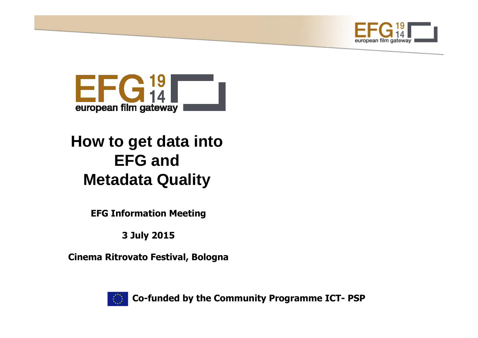



# **How to get data into EFG andMetadata Quality**

**EFG Information Meeting**

**3 July 2015**

**Cinema Ritrovato Festival, Bologna**



**Co-funded by the Community Programme ICT- PSP**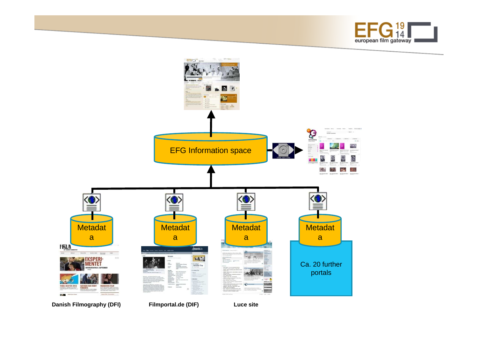

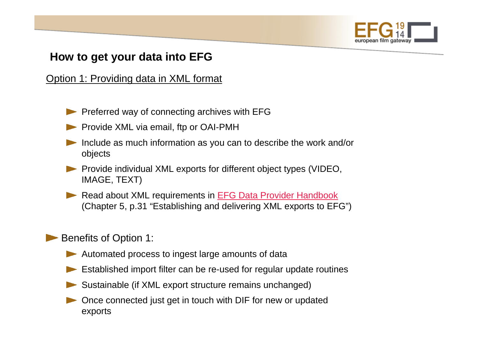

## **How to get your data into EFG**

Option 1: Providing data in XML format

- Preferred way of connecting archives with EFG
- Provide XML via email, ftp or OAI-PMH
- Include as much information as you can to describe the work and/or objects
- **Provide individual XML exports for different object types (VIDEO,** IMAGE, TEXT)
- Read about XML requirements in EFG Data Provider Handbook (Chapter 5, p.31 "Establishing and delivering XML exports to EFG")

### Benefits of Option 1:

- Automated process to ingest large amounts of data
- Established import filter can be re-used for regular update routines
- Sustainable (if XML export structure remains unchanged)
- Once connected just get in touch with DIF for new or updated exports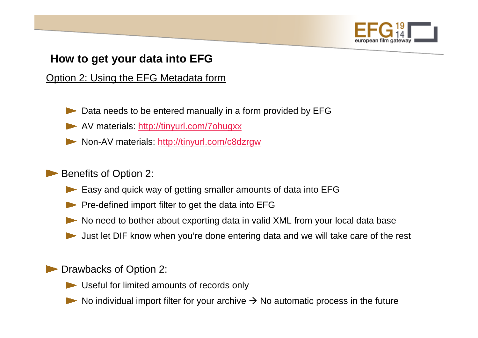

## **How to get your data into EFG**

Option 2: Using the EFG Metadata form

- Data needs to be entered manually in a form provided by EFG
- AV materials: http://tinyurl.com/7ohugxx
- Non-AV materials: http://tinyurl.com/c8dzrgw

### Benefits of Option 2:

- Easy and quick way of getting smaller amounts of data into EFG
- Pre-defined import filter to get the data into EFG
- No need to bother about exporting data in valid XML from your local data base
- Just let DIF know when you're done entering data and we will take care of the rest

### **Drawbacks of Option 2:**

- Useful for limited amounts of records only
- No individual import filter for your archive  $\rightarrow$  No automatic process in the future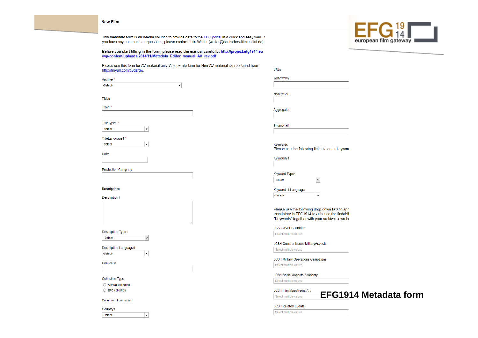

This metadata form is an interim solution to provide data to the EFG portal in a quick and easy way. If vou have any comments or questions, please contact Julia Welter (welter@deutsches-filminstitut.de).

Before you start filling in the form, please read the manual carefully: http://project.efg1914.eu /wp-content/uploads/2014/11/Metadata Editor manual AV rev.pdf

Please use this form for AV material only. A separate form for Non-AV material can be found here. http://tinyurl.com/c8dzrgw.

Archive<sup>\*</sup> Select  $\mathbf{L}$ 

 $\vert$  ,

 $\blacktriangledown$ 

 $\vert$   $\downarrow$ 

 $|\cdot|$ 

|  | ٠ |
|--|---|

Title1

TitleType1 -Select-

TitleLanguage1

-Select  $|\cdot|$ 

Date

**Production Company** 

#### **Descriptions**

Description1

**Description Type1** 

-Select-

**Description Language1** -Select-

Collection

Collection Type

Archival collection

 $\bigcirc$  EFG collection

Countries of production

Country1 -Select $URI$  s isShownBv isShownAt Aggregator Thumbnail **Keywords** Please use the following fields to enter keyword Keywords1 **Keyword Type1**  $\blacktriangledown$ -Select-Keywords1 Language

-Select- $\vert \cdot \vert$ 

Please use the following drop-down lists to app mandatory in EFG1914 to enhance the findabil "Keywords" together with your archive's own lo

#### **LCSH WW1 Countries**

Select multiple values

**LCSH Genaral Issues MilitaryAspects** 

Select multiple values

#### **LCSH Military Operations Campaigns**

Select multiple values

#### **LCSH Social Aspects Economy**

Select multiple values

**LCSH Film MassMedia Art** Select multiple values



#### **LCSH Related Events**

Select multiple values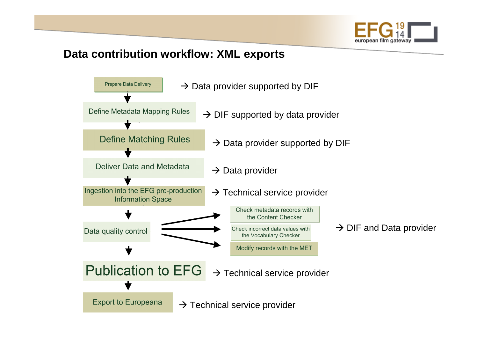

### **Data contribution workflow: XML exports**

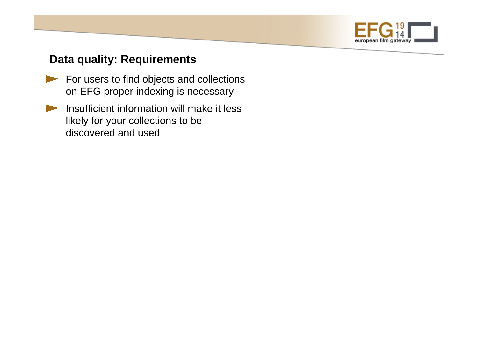

### **Data quality: Requirements**

- For users to find objects and collections on EFG proper indexing is necessary
- Insufficient information will make it less likely for your collections to be discovered and used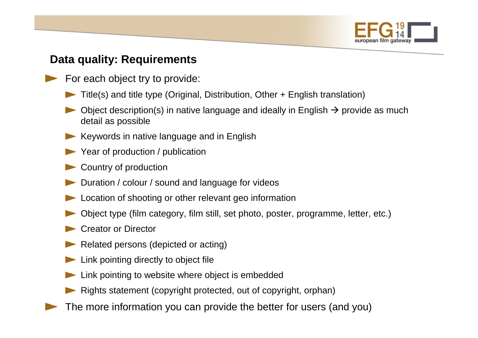

## **Data quality: Requirements**

- For each object try to provide:
	- Title(s) and title type (Original, Distribution, Other + English translation)
	- Object description(s) in native language and ideally in English → provide as much<br>detail as possible detail as possible
	- Keywords in native language and in English
	- Year of production / publication
	- Country of production
	- Duration / colour / sound and language for videos
	- Location of shooting or other relevant geo information
	- Object type (film category, film still, set photo, poster, programme, letter, etc.)
	- Creator or Director
	- Related persons (depicted or acting)
	- Link pointing directly to object file
	- Link pointing to website where object is embedded
	- Rights statement (copyright protected, out of copyright, orphan)
- The more information you can provide the better for users (and you)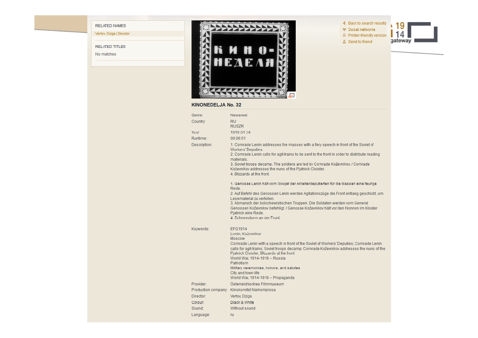RELATED TITLES

**RELATED NAMES** 

Vertov, Dziga | Director

No matches



#### **KINONEDELJA No. 32**

| Genre:       | Newsreel                                                                                                                                                                                                                                                                                                                                                                                         |
|--------------|--------------------------------------------------------------------------------------------------------------------------------------------------------------------------------------------------------------------------------------------------------------------------------------------------------------------------------------------------------------------------------------------------|
| Country:     | <b>RU</b><br><b>RUSZR</b>                                                                                                                                                                                                                                                                                                                                                                        |
| Year         | 1919-01-24                                                                                                                                                                                                                                                                                                                                                                                       |
| Runtime:     | 00:06:51                                                                                                                                                                                                                                                                                                                                                                                         |
| Description: | 1. Comrade Lenin addresses the masses with a fiery speech in front of the Soviet of<br>Workers' Deputies.<br>2. Comrade Lenin calls for agit-trains to be sent to the front in order to distribute reading<br>materials<br>3. Soviet troops decamp. The soldiers are led by Comrade Koževnikov. / Comrade<br>Koževnikov addresses the nuns of the Pjatnick Cloister.<br>4 Blizzards at the front |
|              | 1. Genosse Lenin hält vom Sowjet der Arbeiterdeputierten für die Massen eine feurige                                                                                                                                                                                                                                                                                                             |
|              | Rede<br>2. Auf Befehl des Genossen Lenin werden Agitationszüge die Front entlang geschickt, um<br>Lesematerial zu verteilen-<br>3. Abmarsch der bolschewistischen Truppen. Die Soldaten werden vom General<br>Genossen Koževnikov befehligt. / Genosse Koževnikov hält vor den Nonnen im Kloster<br>Piatnick eine Rede.<br>4. Schneesturm an der Front-                                          |
| Keywords:    | <b>EFG1914</b><br>Lenin: Koževnikov<br>Moscow<br>Comrade Lenin with a speech in front of the Soviet of Workers' Deputies; Comrade Lenin<br>calls for agit-trains; Soviet troops decamp; Comrade Koževnikov addresses the nuns of the<br>Piatnick Cloister: Blizzards at the front<br>World War, 1914-1918 -- Russia                                                                              |
|              | <b>Patriotism</b><br>Military ceremonies, honors, and salutes<br>City and town life<br>World War, 1914-1918 -- Propaganda                                                                                                                                                                                                                                                                        |
| Provider:    | Österreichisches Filmmuseum                                                                                                                                                                                                                                                                                                                                                                      |
|              | Production company: Kinokomitet Narkomprosa                                                                                                                                                                                                                                                                                                                                                      |
| Director:    | Vertov, Dziga                                                                                                                                                                                                                                                                                                                                                                                    |
| Colour:      | <b>Black &amp; White</b>                                                                                                                                                                                                                                                                                                                                                                         |
| Sound        | Without sound                                                                                                                                                                                                                                                                                                                                                                                    |
| Language:    | ru                                                                                                                                                                                                                                                                                                                                                                                               |

◀ Back to search results

- ♥ Social networks
- $\triangle$  Printer-friendly version
- Send to friend

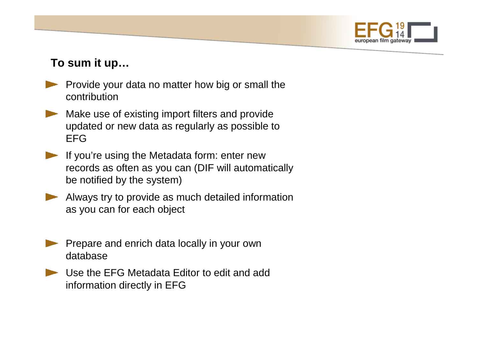

# **To sum it up…**

- **Provide your data no matter how big or small the** contribution
- Make use of existing import filters and provide updated or new data as regularly as possible to EFG
- If you're using the Metadata form: enter new records as often as you can (DIF will automaticallybe notified by the system)
- Always try to provide as much detailed information as you can for each object
- Prepare and enrich data locally in your own database
- Use the EFG Metadata Editor to edit and add information directly in EFG